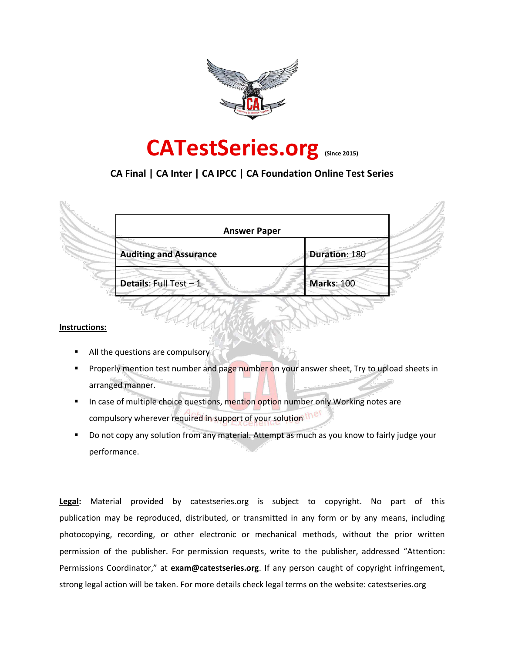

# **CATestSeries.org (Since 2015)**

# **CA Final | CA Inter | CA IPCC | CA Foundation Online Test Series**

| <b>Answer Paper</b>           |                   |
|-------------------------------|-------------------|
| <b>Auditing and Assurance</b> | Duration: 180     |
| Details: Full Test - 1        | <b>Marks: 100</b> |

#### **Instructions:**

- All the questions are compulsory
- Properly mention test number and page number on your answer sheet, Try to upload sheets in arranged manner.
- In case of multiple choice questions, mention option number only Working notes are compulsory wherever required in support of your solution the
- Do not copy any solution from any material. Attempt as much as you know to fairly judge your performance.

**Legal:** Material provided by catestseries.org is subject to copyright. No part of this publication may be reproduced, distributed, or transmitted in any form or by any means, including photocopying, recording, or other electronic or mechanical methods, without the prior written permission of the publisher. For permission requests, write to the publisher, addressed "Attention: Permissions Coordinator," at **exam@catestseries.org**. If any person caught of copyright infringement, strong legal action will be taken. For more details check legal terms on the website: catestseries.org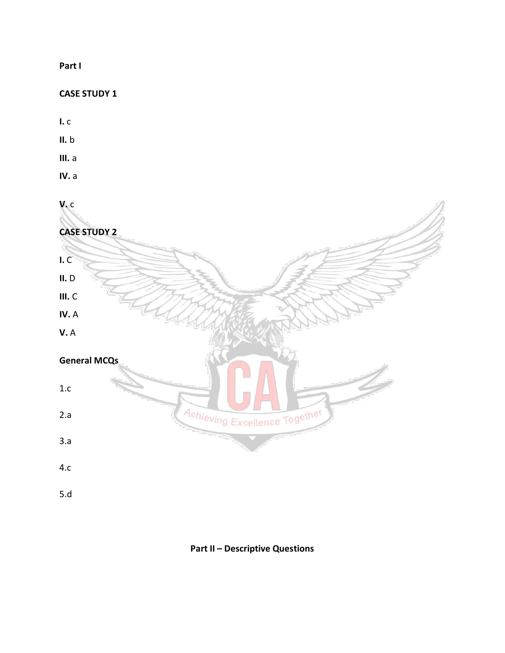# **Part I**

# **CASE STUDY 1**

- **I.** c
- **II.** b
- **III.** a
- **IV.** a

# **V.** c



# **Part II – Descriptive Questions**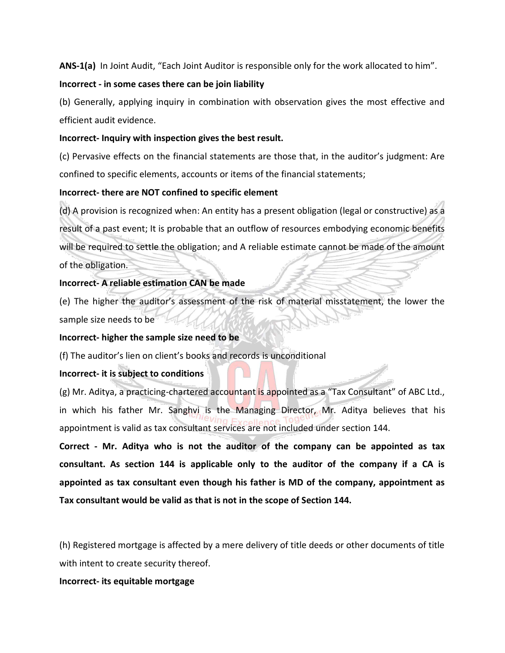**ANS-1(a)** In Joint Audit, "Each Joint Auditor is responsible only for the work allocated to him".

#### **Incorrect - in some cases there can be join liability**

(b) Generally, applying inquiry in combination with observation gives the most effective and efficient audit evidence.

#### **Incorrect- Inquiry with inspection gives the best result.**

(c) Pervasive effects on the financial statements are those that, in the auditor's judgment: Are confined to specific elements, accounts or items of the financial statements;

# **Incorrect- there are NOT confined to specific element**

(d) A provision is recognized when: An entity has a present obligation (legal or constructive) as a result of a past event; It is probable that an outflow of resources embodying economic benefits will be required to settle the obligation; and A reliable estimate cannot be made of the amount of the obligation.

# **Incorrect- A reliable estimation CAN be made**

(e) The higher the auditor's assessment of the risk of material misstatement, the lower the sample size needs to be

#### **Incorrect- higher the sample size need to be**

(f) The auditor's lien on client's books and records is unconditional

# **Incorrect- it is subject to conditions**

(g) Mr. Aditya, a practicing-chartered accountant is appointed as a "Tax Consultant" of ABC Ltd., in which his father Mr. Sanghvi is the Managing Director, Mr. Aditya believes that his appointment is valid as tax consultant services are not included under section 144.

**Correct - Mr. Aditya who is not the auditor of the company can be appointed as tax consultant. As section 144 is applicable only to the auditor of the company if a CA is appointed as tax consultant even though his father is MD of the company, appointment as Tax consultant would be valid as that is not in the scope of Section 144.**

(h) Registered mortgage is affected by a mere delivery of title deeds or other documents of title with intent to create security thereof.

**Incorrect- its equitable mortgage**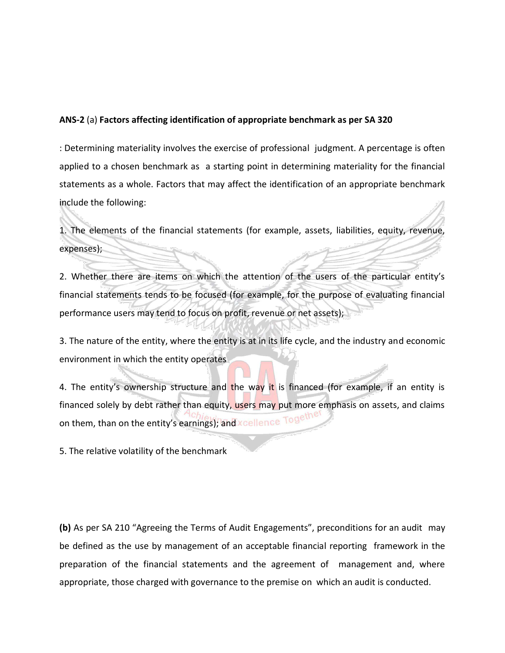#### **ANS-2** (a) **Factors affecting identification of appropriate benchmark as per SA 320**

: Determining materiality involves the exercise of professional judgment. A percentage is often applied to a chosen benchmark as a starting point in determining materiality for the financial statements as a whole. Factors that may affect the identification of an appropriate benchmark include the following:

1. The elements of the financial statements (for example, assets, liabilities, equity, revenue, expenses);

2. Whether there are items on which the attention of the users of the particular entity's financial statements tends to be focused (for example, for the purpose of evaluating financial performance users may tend to focus on profit, revenue or net assets);

3. The nature of the entity, where the entity is at in its life cycle, and the industry and economic environment in which the entity operates

4. The entity's ownership structure and the way it is financed (for example, if an entity is financed solely by debt rather than equity, users may put more emphasis on assets, and claims on them, than on the entity's earnings); and xcellence Togeth

5. The relative volatility of the benchmark

**(b)** As per SA 210 "Agreeing the Terms of Audit Engagements", preconditions for an audit may be defined as the use by management of an acceptable financial reporting framework in the preparation of the financial statements and the agreement of management and, where appropriate, those charged with governance to the premise on which an audit is conducted.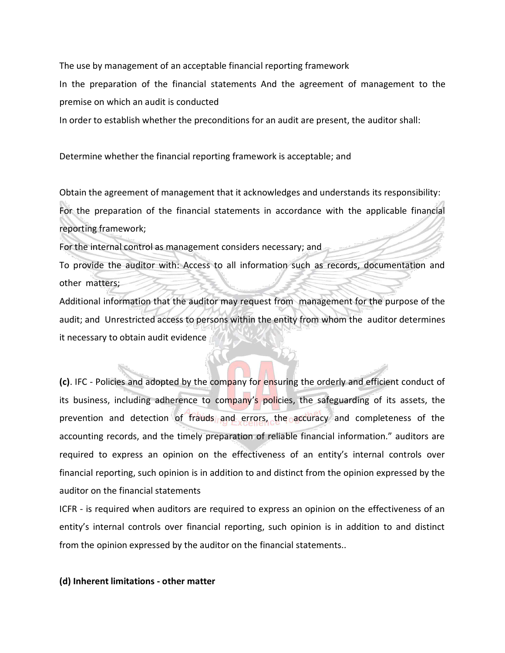The use by management of an acceptable financial reporting framework

In the preparation of the financial statements And the agreement of management to the premise on which an audit is conducted

In order to establish whether the preconditions for an audit are present, the auditor shall:

Determine whether the financial reporting framework is acceptable; and

Obtain the agreement of management that it acknowledges and understands its responsibility: For the preparation of the financial statements in accordance with the applicable financial reporting framework;

For the internal control as management considers necessary; and

To provide the auditor with: Access to all information such as records, documentation and other matters;

Additional information that the auditor may request from management for the purpose of the audit; and Unrestricted access to persons within the entity from whom the auditor determines it necessary to obtain audit evidence

**(c)**. IFC - Policies and adopted by the company for ensuring the orderly and efficient conduct of its business, including adherence to company's policies, the safeguarding of its assets, the prevention and detection of frauds and errors, the accuracy and completeness of the accounting records, and the timely preparation of reliable financial information." auditors are required to express an opinion on the effectiveness of an entity's internal controls over financial reporting, such opinion is in addition to and distinct from the opinion expressed by the auditor on the financial statements

ICFR - is required when auditors are required to express an opinion on the effectiveness of an entity's internal controls over financial reporting, such opinion is in addition to and distinct from the opinion expressed by the auditor on the financial statements..

#### **(d) Inherent limitations - other matter**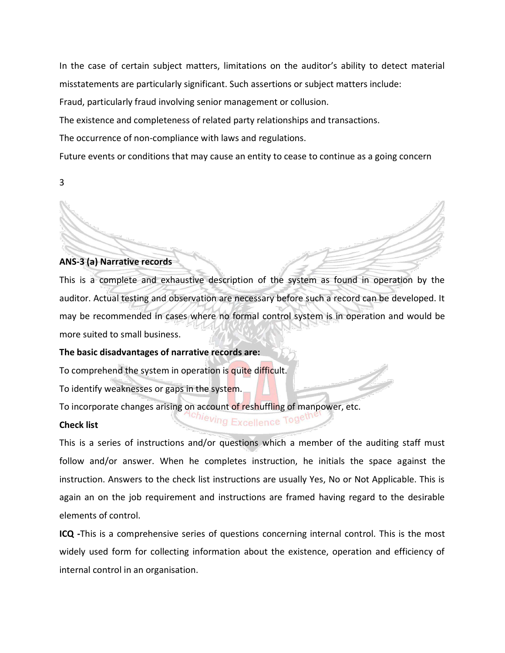In the case of certain subject matters, limitations on the auditor's ability to detect material misstatements are particularly significant. Such assertions or subject matters include:

Fraud, particularly fraud involving senior management or collusion.

The existence and completeness of related party relationships and transactions.

The occurrence of non-compliance with laws and regulations.

Future events or conditions that may cause an entity to cease to continue as a going concern

3

#### **ANS-3 (a) Narrative records**

This is a complete and exhaustive description of the system as found in operation by the auditor. Actual testing and observation are necessary before such a record can be developed. It may be recommended in cases where no formal control system is in operation and would be more suited to small business.

**The basic disadvantages of narrative records are:** 

To comprehend the system in operation is quite difficult.

To identify weaknesses or gaps in the system.

To incorporate changes arising on account of reshuffling of manpower, etc.

#### **Check list**

This is a series of instructions and/or questions which a member of the auditing staff must follow and/or answer. When he completes instruction, he initials the space against the instruction. Answers to the check list instructions are usually Yes, No or Not Applicable. This is again an on the job requirement and instructions are framed having regard to the desirable elements of control.

<sup>ing</sup> Excellence Tog<sup>eu</sup>

**ICQ -**This is a comprehensive series of questions concerning internal control. This is the most widely used form for collecting information about the existence, operation and efficiency of internal control in an organisation.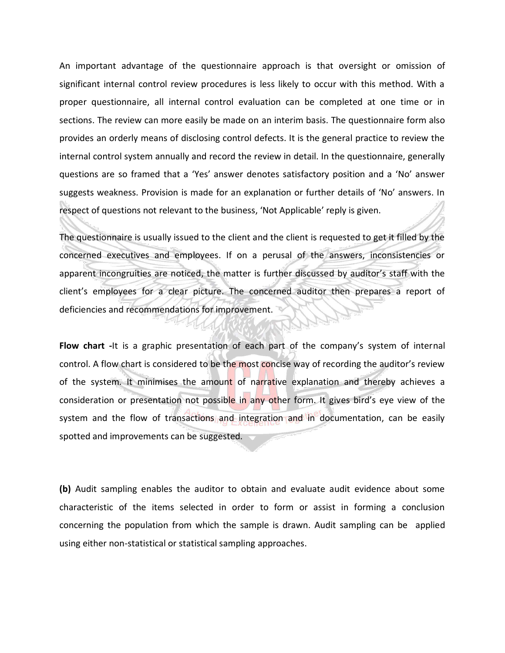An important advantage of the questionnaire approach is that oversight or omission of significant internal control review procedures is less likely to occur with this method. With a proper questionnaire, all internal control evaluation can be completed at one time or in sections. The review can more easily be made on an interim basis. The questionnaire form also provides an orderly means of disclosing control defects. It is the general practice to review the internal control system annually and record the review in detail. In the questionnaire, generally questions are so framed that a 'Yes' answer denotes satisfactory position and a 'No' answer suggests weakness. Provision is made for an explanation or further details of 'No' answers. In respect of questions not relevant to the business, 'Not Applicable' reply is given.

The questionnaire is usually issued to the client and the client is requested to get it filled by the concerned executives and employees. If on a perusal of the answers, inconsistencies or apparent incongruities are noticed, the matter is further discussed by auditor's staff with the client's employees for a clear picture. The concerned auditor then prepares a report of deficiencies and recommendations for improvement.

**Flow chart -**It is a graphic presentation of each part of the company's system of internal control. A flow chart is considered to be the most concise way of recording the auditor's review of the system. It minimises the amount of narrative explanation and thereby achieves a consideration or presentation not possible in any other form. It gives bird's eye view of the system and the flow of transactions and integration and in documentation, can be easily spotted and improvements can be suggested.

**(b)** Audit sampling enables the auditor to obtain and evaluate audit evidence about some characteristic of the items selected in order to form or assist in forming a conclusion concerning the population from which the sample is drawn. Audit sampling can be applied using either non-statistical or statistical sampling approaches.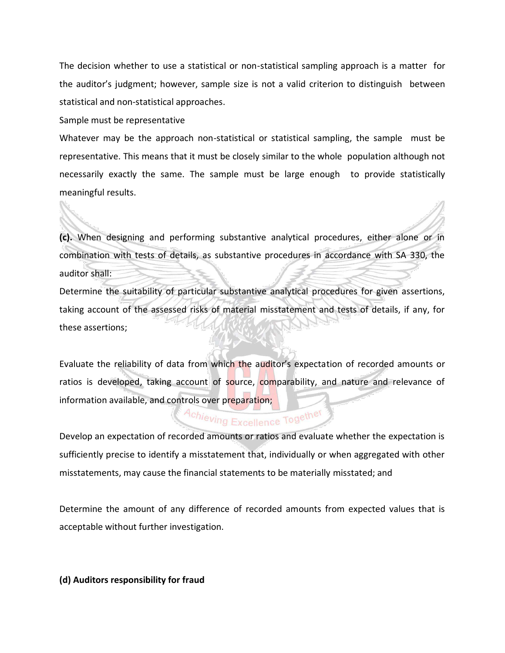The decision whether to use a statistical or non-statistical sampling approach is a matter for the auditor's judgment; however, sample size is not a valid criterion to distinguish between statistical and non-statistical approaches.

Sample must be representative

Whatever may be the approach non-statistical or statistical sampling, the sample must be representative. This means that it must be closely similar to the whole population although not necessarily exactly the same. The sample must be large enough to provide statistically meaningful results.

**(c).** When designing and performing substantive analytical procedures, either alone or in combination with tests of details, as substantive procedures in accordance with SA 330, the auditor shall:

Determine the suitability of particular substantive analytical procedures for given assertions, taking account of the assessed risks of material misstatement and tests of details, if any, for these assertions;

Evaluate the reliability of data from which the auditor's expectation of recorded amounts or ratios is developed, taking account of source, comparability, and nature and relevance of information available, and controls over preparation;

# Achieving Excellence Together

Develop an expectation of recorded amounts or ratios and evaluate whether the expectation is sufficiently precise to identify a misstatement that, individually or when aggregated with other misstatements, may cause the financial statements to be materially misstated; and

Determine the amount of any difference of recorded amounts from expected values that is acceptable without further investigation.

**(d) Auditors responsibility for fraud**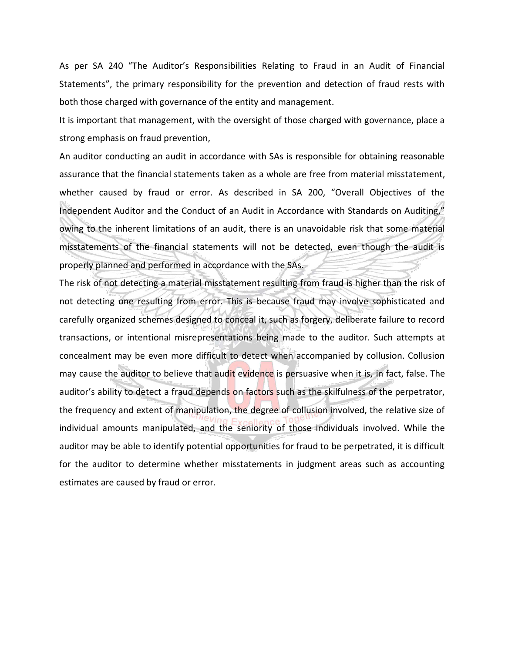As per SA 240 "The Auditor's Responsibilities Relating to Fraud in an Audit of Financial Statements", the primary responsibility for the prevention and detection of fraud rests with both those charged with governance of the entity and management.

It is important that management, with the oversight of those charged with governance, place a strong emphasis on fraud prevention,

An auditor conducting an audit in accordance with SAs is responsible for obtaining reasonable assurance that the financial statements taken as a whole are free from material misstatement, whether caused by fraud or error. As described in SA 200, "Overall Objectives of the Independent Auditor and the Conduct of an Audit in Accordance with Standards on Auditing," owing to the inherent limitations of an audit, there is an unavoidable risk that some material misstatements of the financial statements will not be detected, even though the audit is properly planned and performed in accordance with the SAs.

The risk of not detecting a material misstatement resulting from fraud is higher than the risk of not detecting one resulting from error. This is because fraud may involve sophisticated and carefully organized schemes designed to conceal it, such as forgery, deliberate failure to record transactions, or intentional misrepresentations being made to the auditor. Such attempts at concealment may be even more difficult to detect when accompanied by collusion. Collusion may cause the auditor to believe that audit evidence is persuasive when it is, in fact, false. The auditor's ability to detect a fraud depends on factors such as the skilfulness of the perpetrator, the frequency and extent of manipulation, the degree of collusion involved, the relative size of individual amounts manipulated, and the seniority of those individuals involved. While the auditor may be able to identify potential opportunities for fraud to be perpetrated, it is difficult for the auditor to determine whether misstatements in judgment areas such as accounting estimates are caused by fraud or error.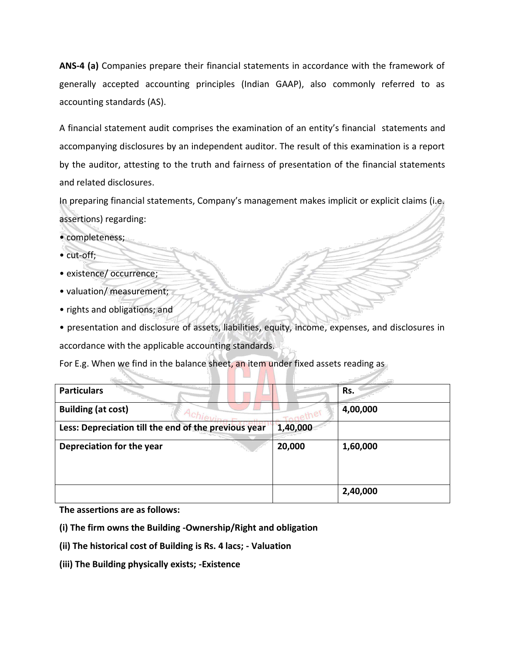**ANS-4 (a)** Companies prepare their financial statements in accordance with the framework of generally accepted accounting principles (Indian GAAP), also commonly referred to as accounting standards (AS).

A financial statement audit comprises the examination of an entity's financial statements and accompanying disclosures by an independent auditor. The result of this examination is a report by the auditor, attesting to the truth and fairness of presentation of the financial statements and related disclosures.

In preparing financial statements, Company's management makes implicit or explicit claims (i.e. assertions) regarding:

- completeness;
- cut-off;
- existence/ occurrence;
- valuation/ measurement;
- rights and obligations; and

• presentation and disclosure of assets, liabilities, equity, income, expenses, and disclosures in accordance with the applicable accounting standards.

For E.g. When we find in the balance sheet, an item under fixed assets reading as

| <b>Particulars</b>                                   |          | Rs.      |
|------------------------------------------------------|----------|----------|
| <b>Building (at cost)</b>                            |          | 4,00,000 |
| Less: Depreciation till the end of the previous year | 1,40,000 |          |
| Depreciation for the year                            | 20,000   | 1,60,000 |
|                                                      |          | 2,40,000 |

**The assertions are as follows:** 

**(i) The firm owns the Building -Ownership/Right and obligation** 

- **(ii) The historical cost of Building is Rs. 4 lacs; - Valuation**
- **(iii) The Building physically exists; -Existence**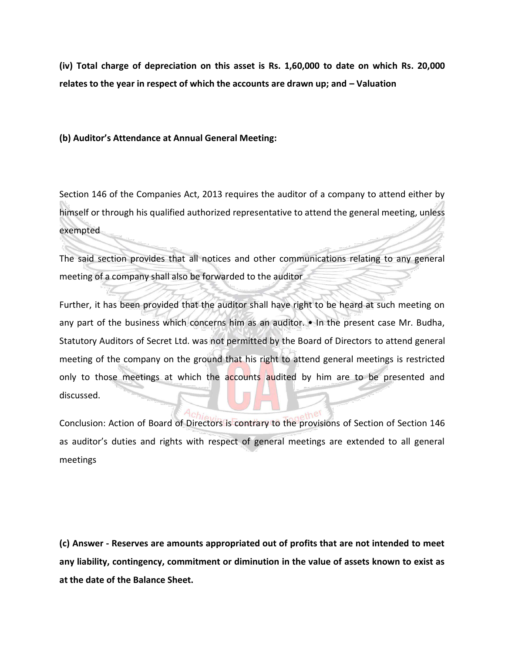**(iv) Total charge of depreciation on this asset is Rs. 1,60,000 to date on which Rs. 20,000 relates to the year in respect of which the accounts are drawn up; and – Valuation**

#### **(b) Auditor's Attendance at Annual General Meeting:**

Section 146 of the Companies Act, 2013 requires the auditor of a company to attend either by himself or through his qualified authorized representative to attend the general meeting, unless exempted

The said section provides that all notices and other communications relating to any general meeting of a company shall also be forwarded to the auditor

Further, it has been provided that the auditor shall have right to be heard at such meeting on any part of the business which concerns him as an auditor. • In the present case Mr. Budha, Statutory Auditors of Secret Ltd. was not permitted by the Board of Directors to attend general meeting of the company on the ground that his right to attend general meetings is restricted only to those meetings at which the accounts audited by him are to be presented and discussed.

Conclusion: Action of Board of Directors is contrary to the provisions of Section of Section 146 as auditor's duties and rights with respect of general meetings are extended to all general meetings

**(c) Answer - Reserves are amounts appropriated out of profits that are not intended to meet any liability, contingency, commitment or diminution in the value of assets known to exist as at the date of the Balance Sheet.**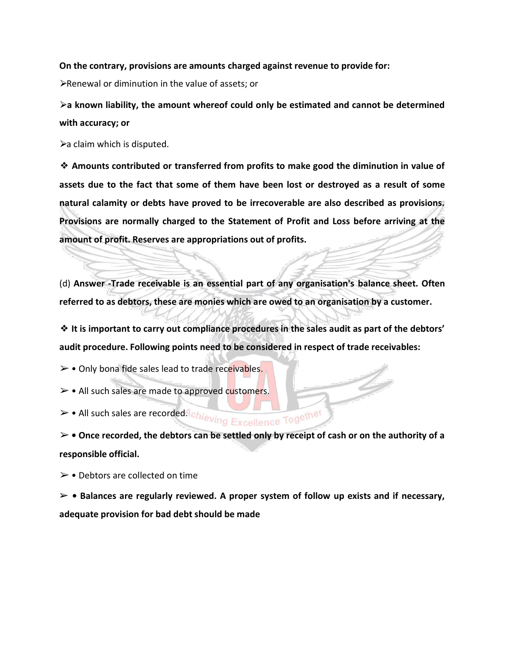#### **On the contrary, provisions are amounts charged against revenue to provide for:**

⮚Renewal or diminution in the value of assets; or

⮚**a known liability, the amount whereof could only be estimated and cannot be determined with accuracy; or** 

 $\blacktriangleright$  claim which is disputed.

❖ **Amounts contributed or transferred from profits to make good the diminution in value of assets due to the fact that some of them have been lost or destroyed as a result of some natural calamity or debts have proved to be irrecoverable are also described as provisions. Provisions are normally charged to the Statement of Profit and Loss before arriving at the amount of profit. Reserves are appropriations out of profits.** 

(d) **Answer -Trade receivable is an essential part of any organisation's balance sheet. Often referred to as debtors, these are monies which are owed to an organisation by a customer.** 

❖ **It is important to carry out compliance procedures in the sales audit as part of the debtors' audit procedure. Following points need to be considered in respect of trade receivables:** 

➢ • Only bona fide sales lead to trade receivables.

➢ • All such sales are made to approved customers.

> • All such sales are recorded. Chieving Excellence Together

➢ **• Once recorded, the debtors can be settled only by receipt of cash or on the authority of a responsible official.** 

 $\triangleright$  • Debtors are collected on time

➢ **• Balances are regularly reviewed. A proper system of follow up exists and if necessary, adequate provision for bad debt should be made**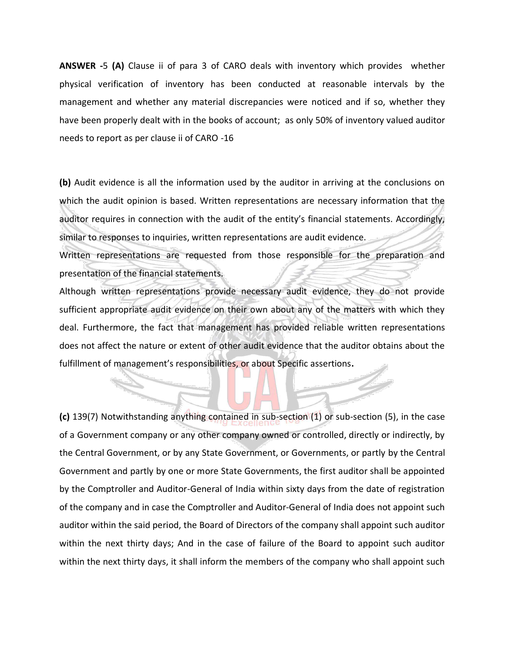**ANSWER -**5 **(A)** Clause ii of para 3 of CARO deals with inventory which provides whether physical verification of inventory has been conducted at reasonable intervals by the management and whether any material discrepancies were noticed and if so, whether they have been properly dealt with in the books of account; as only 50% of inventory valued auditor needs to report as per clause ii of CARO -16

**(b)** Audit evidence is all the information used by the auditor in arriving at the conclusions on which the audit opinion is based. Written representations are necessary information that the auditor requires in connection with the audit of the entity's financial statements. Accordingly, similar to responses to inquiries, written representations are audit evidence.

Written representations are requested from those responsible for the preparation and presentation of the financial statements.

Although written representations provide necessary audit evidence, they do not provide sufficient appropriate audit evidence on their own about any of the matters with which they deal. Furthermore, the fact that management has provided reliable written representations does not affect the nature or extent of other audit evidence that the auditor obtains about the fulfillment of management's responsibilities, or about Specific assertions**.**

**(c)** 139(7) Notwithstanding anything contained in sub-section (1) or sub-section (5), in the case of a Government company or any other company owned or controlled, directly or indirectly, by the Central Government, or by any State Government, or Governments, or partly by the Central Government and partly by one or more State Governments, the first auditor shall be appointed by the Comptroller and Auditor-General of India within sixty days from the date of registration of the company and in case the Comptroller and Auditor-General of India does not appoint such auditor within the said period, the Board of Directors of the company shall appoint such auditor within the next thirty days; And in the case of failure of the Board to appoint such auditor within the next thirty days, it shall inform the members of the company who shall appoint such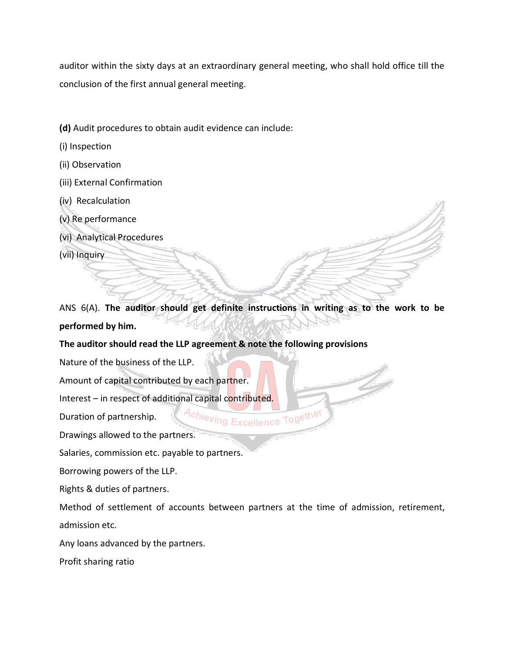auditor within the sixty days at an extraordinary general meeting, who shall hold office till the conclusion of the first annual general meeting.

- **(d)** Audit procedures to obtain audit evidence can include:
- (i) Inspection
- (ii) Observation
- (iii) External Confirmation
- (iv) Recalculation
- (v) Re performance
- (vi) Analytical Procedures

(vii) Inquiry

ANS 6(A). **The auditor should get definite instructions in writing as to the work to be performed by him.** 

#### **The auditor should read the LLP agreement & note the following provisions**

Nature of the business of the LLP.

Amount of capital contributed by each partner.

Interest – in respect of additional capital contributed.

Duration of partnership.

Drawings allowed to the partners.

Salaries, commission etc. payable to partners.

Borrowing powers of the LLP.

Rights & duties of partners.

Method of settlement of accounts between partners at the time of admission, retirement, admission etc.

Achieving Excellence Together

Any loans advanced by the partners.

Profit sharing ratio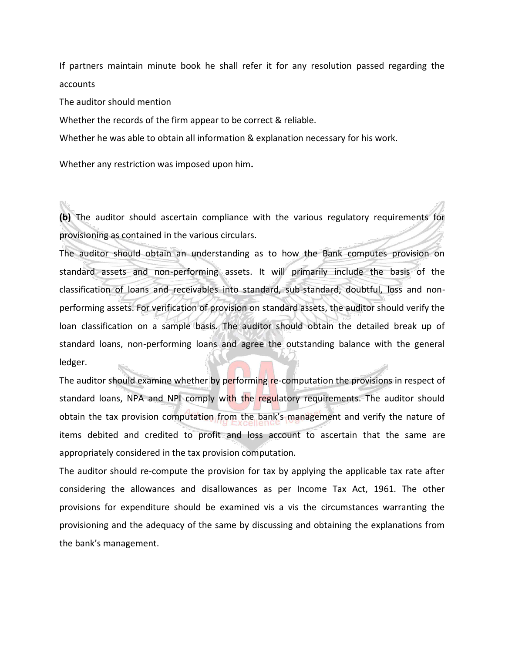If partners maintain minute book he shall refer it for any resolution passed regarding the accounts

The auditor should mention

Whether the records of the firm appear to be correct & reliable.

Whether he was able to obtain all information & explanation necessary for his work.

Whether any restriction was imposed upon him**.**

**(b)** The auditor should ascertain compliance with the various regulatory requirements for provisioning as contained in the various circulars.

The auditor should obtain an understanding as to how the Bank computes provision on standard assets and non-performing assets. It will primarily include the basis of the classification of loans and receivables into standard, sub-standard, doubtful, loss and nonperforming assets. For verification of provision on standard assets, the auditor should verify the loan classification on a sample basis. The auditor should obtain the detailed break up of standard loans, non-performing loans and agree the outstanding balance with the general ledger.

The auditor should examine whether by performing re-computation the provisions in respect of standard loans, NPA and NPI comply with the regulatory requirements. The auditor should obtain the tax provision computation from the bank's management and verify the nature of items debited and credited to profit and loss account to ascertain that the same are appropriately considered in the tax provision computation.

The auditor should re-compute the provision for tax by applying the applicable tax rate after considering the allowances and disallowances as per Income Tax Act, 1961. The other provisions for expenditure should be examined vis a vis the circumstances warranting the provisioning and the adequacy of the same by discussing and obtaining the explanations from the bank's management.